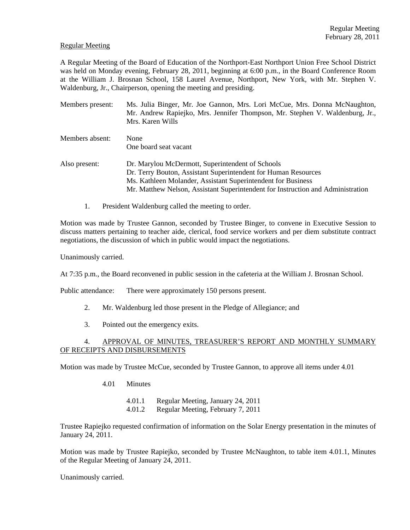### Regular Meeting

A Regular Meeting of the Board of Education of the Northport-East Northport Union Free School District was held on Monday evening, February 28, 2011, beginning at 6:00 p.m., in the Board Conference Room at the William J. Brosnan School, 158 Laurel Avenue, Northport, New York, with Mr. Stephen V. Waldenburg, Jr., Chairperson, opening the meeting and presiding.

| Members present: | Ms. Julia Binger, Mr. Joe Gannon, Mrs. Lori McCue, Mrs. Donna McNaughton,<br>Mr. Andrew Rapiejko, Mrs. Jennifer Thompson, Mr. Stephen V. Waldenburg, Jr.,<br>Mrs. Karen Wills                                                                                         |
|------------------|-----------------------------------------------------------------------------------------------------------------------------------------------------------------------------------------------------------------------------------------------------------------------|
| Members absent:  | None<br>One board seat vacant                                                                                                                                                                                                                                         |
| Also present:    | Dr. Marylou McDermott, Superintendent of Schools<br>Dr. Terry Bouton, Assistant Superintendent for Human Resources<br>Ms. Kathleen Molander, Assistant Superintendent for Business<br>Mr. Matthew Nelson, Assistant Superintendent for Instruction and Administration |

1. President Waldenburg called the meeting to order.

Motion was made by Trustee Gannon, seconded by Trustee Binger, to convene in Executive Session to discuss matters pertaining to teacher aide, clerical, food service workers and per diem substitute contract negotiations, the discussion of which in public would impact the negotiations.

Unanimously carried.

At 7:35 p.m., the Board reconvened in public session in the cafeteria at the William J. Brosnan School.

Public attendance: There were approximately 150 persons present.

- 2. Mr. Waldenburg led those present in the Pledge of Allegiance; and
- 3. Pointed out the emergency exits.

# 4. APPROVAL OF MINUTES, TREASURER'S REPORT AND MONTHLY SUMMARY OF RECEIPTS AND DISBURSEMENTS

Motion was made by Trustee McCue, seconded by Trustee Gannon, to approve all items under 4.01

- 4.01 Minutes
	- 4.01.1 Regular Meeting, January 24, 2011
	- 4.01.2 Regular Meeting, February 7, 2011

Trustee Rapiejko requested confirmation of information on the Solar Energy presentation in the minutes of January 24, 2011.

Motion was made by Trustee Rapiejko, seconded by Trustee McNaughton, to table item 4.01.1, Minutes of the Regular Meeting of January 24, 2011.

Unanimously carried.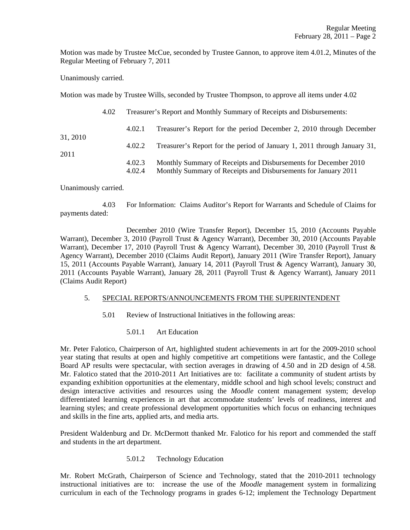Motion was made by Trustee McCue, seconded by Trustee Gannon, to approve item 4.01.2, Minutes of the Regular Meeting of February 7, 2011

Unanimously carried.

Motion was made by Trustee Wills, seconded by Trustee Thompson, to approve all items under 4.02

|                  | 4.02 | Treasurer's Report and Monthly Summary of Receipts and Disbursements: |                                                                                                                                   |  |
|------------------|------|-----------------------------------------------------------------------|-----------------------------------------------------------------------------------------------------------------------------------|--|
|                  |      | 4.02.1                                                                | Treasurer's Report for the period December 2, 2010 through December                                                               |  |
| 31, 2010<br>2011 |      | 4.02.2                                                                | Treasurer's Report for the period of January 1, 2011 through January 31,                                                          |  |
|                  |      | 4.02.3<br>4.02.4                                                      | Monthly Summary of Receipts and Disbursements for December 2010<br>Monthly Summary of Receipts and Disbursements for January 2011 |  |

Unanimously carried.

 4.03 For Information: Claims Auditor's Report for Warrants and Schedule of Claims for payments dated:

 December 2010 (Wire Transfer Report), December 15, 2010 (Accounts Payable Warrant), December 3, 2010 (Payroll Trust & Agency Warrant), December 30, 2010 (Accounts Payable Warrant), December 17, 2010 (Payroll Trust & Agency Warrant), December 30, 2010 (Payroll Trust & Agency Warrant), December 2010 (Claims Audit Report), January 2011 (Wire Transfer Report), January 15, 2011 (Accounts Payable Warrant), January 14, 2011 (Payroll Trust & Agency Warrant), January 30, 2011 (Accounts Payable Warrant), January 28, 2011 (Payroll Trust & Agency Warrant), January 2011 (Claims Audit Report)

#### 5. SPECIAL REPORTS/ANNOUNCEMENTS FROM THE SUPERINTENDENT

- 5.01 Review of Instructional Initiatives in the following areas:
	- 5.01.1 Art Education

Mr. Peter Falotico, Chairperson of Art, highlighted student achievements in art for the 2009-2010 school year stating that results at open and highly competitive art competitions were fantastic, and the College Board AP results were spectacular, with section averages in drawing of 4.50 and in 2D design of 4.58. Mr. Falotico stated that the 2010-2011 Art Initiatives are to: facilitate a community of student artists by expanding exhibition opportunities at the elementary, middle school and high school levels; construct and design interactive activities and resources using the *Moodle* content management system; develop differentiated learning experiences in art that accommodate students' levels of readiness, interest and learning styles; and create professional development opportunities which focus on enhancing techniques and skills in the fine arts, applied arts, and media arts.

President Waldenburg and Dr. McDermott thanked Mr. Falotico for his report and commended the staff and students in the art department.

#### 5.01.2 Technology Education

Mr. Robert McGrath, Chairperson of Science and Technology, stated that the 2010-2011 technology instructional initiatives are to: increase the use of the *Moodle* management system in formalizing curriculum in each of the Technology programs in grades 6-12; implement the Technology Department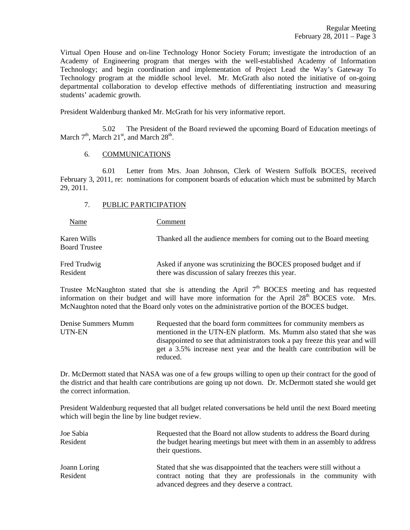Virtual Open House and on-line Technology Honor Society Forum; investigate the introduction of an Academy of Engineering program that merges with the well-established Academy of Information Technology; and begin coordination and implementation of Project Lead the Way's Gateway To Technology program at the middle school level. Mr. McGrath also noted the initiative of on-going departmental collaboration to develop effective methods of differentiating instruction and measuring students' academic growth.

President Waldenburg thanked Mr. McGrath for his very informative report.

 5.02 The President of the Board reviewed the upcoming Board of Education meetings of March  $7<sup>th</sup>$ , March  $21<sup>st</sup>$ , and March  $28<sup>th</sup>$ .

#### 6. COMMUNICATIONS

 6.01 Letter from Mrs. Joan Johnson, Clerk of Western Suffolk BOCES, received February 3, 2011, re: nominations for component boards of education which must be submitted by March 29, 2011.

## 7. PUBLIC PARTICIPATION

Name Comment

Karen Wills Thanked all the audience members for coming out to the Board meeting Board Trustee

Fred Trudwig **Asked if anyone was scrutinizing the BOCES** proposed budget and if Resident there was discussion of salary freezes this year.

Trustee McNaughton stated that she is attending the April  $7<sup>th</sup>$  BOCES meeting and has requested information on their budget and will have more information for the April  $28<sup>th</sup>$  BOCES vote. Mrs. McNaughton noted that the Board only votes on the administrative portion of the BOCES budget.

| Denise Summers Mumm | Requested that the board form committees for community members as            |
|---------------------|------------------------------------------------------------------------------|
| UTN-EN              | mentioned in the UTN-EN platform. Ms. Mumm also stated that she was          |
|                     | disappointed to see that administrators took a pay freeze this year and will |
|                     | get a 3.5% increase next year and the health care contribution will be       |
|                     | reduced.                                                                     |

Dr. McDermott stated that NASA was one of a few groups willing to open up their contract for the good of the district and that health care contributions are going up not down. Dr. McDermott stated she would get the correct information.

President Waldenburg requested that all budget related conversations be held until the next Board meeting which will begin the line by line budget review.

| Joe Sabia<br>Resident    | Requested that the Board not allow students to address the Board during<br>the budget hearing meetings but meet with them in an assembly to address<br>their questions.                       |
|--------------------------|-----------------------------------------------------------------------------------------------------------------------------------------------------------------------------------------------|
| Joann Loring<br>Resident | Stated that she was disappointed that the teachers were still without a<br>contract noting that they are professionals in the community with<br>advanced degrees and they deserve a contract. |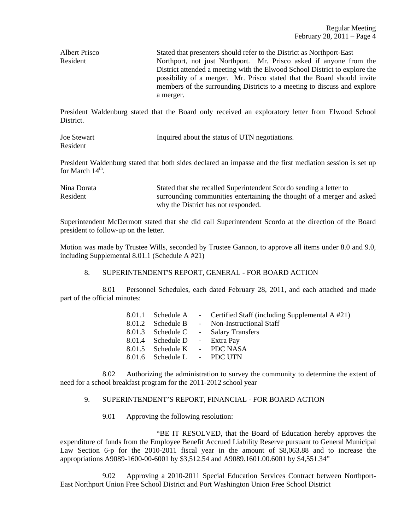Albert Prisco Stated that presenters should refer to the District as Northport-East Resident Northport, not just Northport. Mr. Prisco asked if anyone from the District attended a meeting with the Elwood School District to explore the possibility of a merger. Mr. Prisco stated that the Board should invite members of the surrounding Districts to a meeting to discuss and explore a merger.

President Waldenburg stated that the Board only received an exploratory letter from Elwood School **District** 

| Joe Stewart | Inquired about the status of UTN negotiations. |
|-------------|------------------------------------------------|
| Resident    |                                                |

President Waldenburg stated that both sides declared an impasse and the first mediation session is set up for March  $14<sup>th</sup>$ .

Nina Dorata Stated that she recalled Superintendent Scordo sending a letter to Resident surrounding communities entertaining the thought of a merger and asked why the District has not responded.

Superintendent McDermott stated that she did call Superintendent Scordo at the direction of the Board president to follow-up on the letter.

Motion was made by Trustee Wills, seconded by Trustee Gannon, to approve all items under 8.0 and 9.0, including Supplemental 8.01.1 (Schedule A #21)

## 8. SUPERINTENDENT'S REPORT, GENERAL - FOR BOARD ACTION

 8.01 Personnel Schedules, each dated February 28, 2011, and each attached and made part of the official minutes:

|                               | 8.01.1 Schedule A - Certified Staff (including Supplemental A #21) |
|-------------------------------|--------------------------------------------------------------------|
|                               | 8.01.2 Schedule B - Non-Instructional Staff                        |
|                               | 8.01.3 Schedule C - Salary Transfers                               |
| 8.01.4 Schedule D - Extra Pay |                                                                    |
| 8.01.5 Schedule K - PDC NASA  |                                                                    |
| 8.01.6 Schedule L - PDC UTN   |                                                                    |

 8.02 Authorizing the administration to survey the community to determine the extent of need for a school breakfast program for the 2011-2012 school year

## 9. SUPERINTENDENT'S REPORT, FINANCIAL - FOR BOARD ACTION

9.01 Approving the following resolution:

 "BE IT RESOLVED, that the Board of Education hereby approves the expenditure of funds from the Employee Benefit Accrued Liability Reserve pursuant to General Municipal Law Section 6-p for the 2010-2011 fiscal year in the amount of \$8,063.88 and to increase the appropriations A9089-1600-00-6001 by \$3,512.54 and A9089.1601.00.6001 by \$4,551.34"

 9.02 Approving a 2010-2011 Special Education Services Contract between Northport-East Northport Union Free School District and Port Washington Union Free School District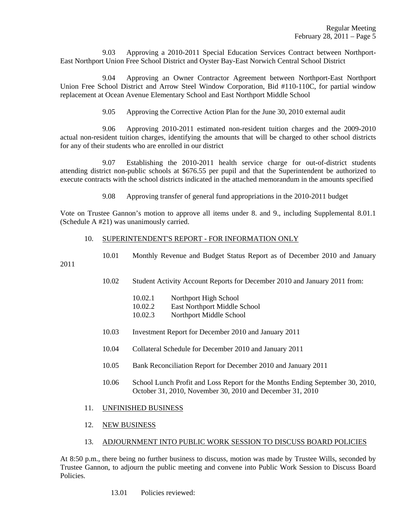9.03 Approving a 2010-2011 Special Education Services Contract between Northport-East Northport Union Free School District and Oyster Bay-East Norwich Central School District

 9.04 Approving an Owner Contractor Agreement between Northport-East Northport Union Free School District and Arrow Steel Window Corporation, Bid #110-110C, for partial window replacement at Ocean Avenue Elementary School and East Northport Middle School

9.05 Approving the Corrective Action Plan for the June 30, 2010 external audit

 9.06 Approving 2010-2011 estimated non-resident tuition charges and the 2009-2010 actual non-resident tuition charges, identifying the amounts that will be charged to other school districts for any of their students who are enrolled in our district

 9.07 Establishing the 2010-2011 health service charge for out-of-district students attending district non-public schools at \$676.55 per pupil and that the Superintendent be authorized to execute contracts with the school districts indicated in the attached memorandum in the amounts specified

9.08 Approving transfer of general fund appropriations in the 2010-2011 budget

Vote on Trustee Gannon's motion to approve all items under 8. and 9., including Supplemental 8.01.1 (Schedule A #21) was unanimously carried.

#### 10. SUPERINTENDENT'S REPORT - FOR INFORMATION ONLY

10.01 Monthly Revenue and Budget Status Report as of December 2010 and January

2011

10.02 Student Activity Account Reports for December 2010 and January 2011 from:

10.02.1 Northport High School

- 10.02.2 East Northport Middle School
- 10.02.3 Northport Middle School
- 10.03 Investment Report for December 2010 and January 2011
- 10.04 Collateral Schedule for December 2010 and January 2011
- 10.05 Bank Reconciliation Report for December 2010 and January 2011
- 10.06 School Lunch Profit and Loss Report for the Months Ending September 30, 2010, October 31, 2010, November 30, 2010 and December 31, 2010
- 11. UNFINISHED BUSINESS
- 12. NEW BUSINESS
- 13. ADJOURNMENT INTO PUBLIC WORK SESSION TO DISCUSS BOARD POLICIES

At 8:50 p.m., there being no further business to discuss, motion was made by Trustee Wills, seconded by Trustee Gannon, to adjourn the public meeting and convene into Public Work Session to Discuss Board Policies.

13.01 Policies reviewed: